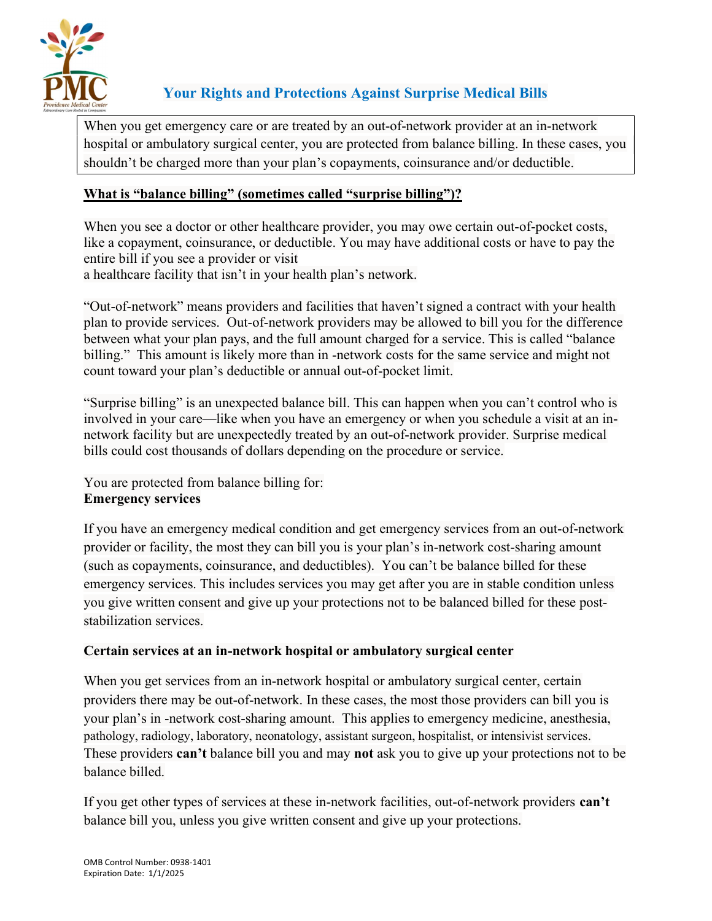

## Your Rights and Protections Against Surprise Medical Bills

When you get emergency care or are treated by an out-of-network provider at an in-network hospital or ambulatory surgical center, you are protected from balance billing. In these cases, you shouldn't be charged more than your plan's copayments, coinsurance and/or deductible.

#### What is "balance billing" (sometimes called "surprise billing")?

When you see a doctor or other healthcare provider, you may owe certain out-of-pocket costs, like a copayment, coinsurance, or deductible. You may have additional costs or have to pay the entire bill if you see a provider or visit a healthcare facility that isn't in your health plan's network.

"Out-of-network" means providers and facilities that haven't signed a contract with your health plan to provide services. Out-of-network providers may be allowed to bill you for the difference between what your plan pays, and the full amount charged for a service. This is called "balance billing." This amount is likely more than in -network costs for the same service and might not count toward your plan's deductible or annual out-of-pocket limit.

"Surprise billing" is an unexpected balance bill. This can happen when you can't control who is involved in your care—like when you have an emergency or when you schedule a visit at an innetwork facility but are unexpectedly treated by an out-of-network provider. Surprise medical bills could cost thousands of dollars depending on the procedure or service.

You are protected from balance billing for: Emergency services

If you have an emergency medical condition and get emergency services from an out-of-network provider or facility, the most they can bill you is your plan's in-network cost-sharing amount (such as copayments, coinsurance, and deductibles). You can't be balance billed for these emergency services. This includes services you may get after you are in stable condition unless you give written consent and give up your protections not to be balanced billed for these poststabilization services.

#### Certain services at an in-network hospital or ambulatory surgical center

When you get services from an in-network hospital or ambulatory surgical center, certain providers there may be out-of-network. In these cases, the most those providers can bill you is your plan's in -network cost-sharing amount. This applies to emergency medicine, anesthesia, pathology, radiology, laboratory, neonatology, assistant surgeon, hospitalist, or intensivist services. These providers can't balance bill you and may not ask you to give up your protections not to be balance billed.

If you get other types of services at these in-network facilities, out-of-network providers can't balance bill you, unless you give written consent and give up your protections.